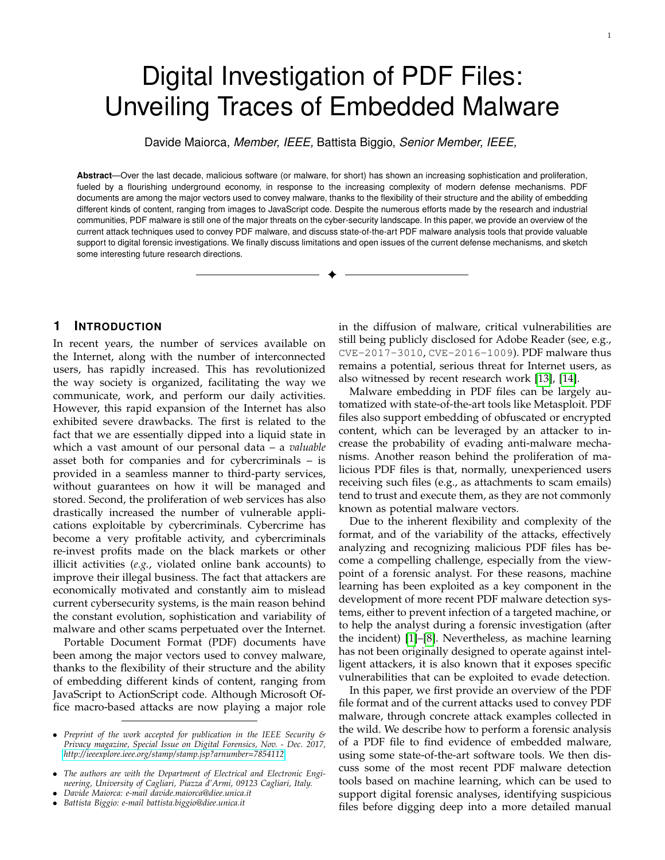# Digital Investigation of PDF Files: Unveiling Traces of Embedded Malware

Davide Maiorca, *Member, IEEE,* Battista Biggio, *Senior Member, IEEE,*

**Abstract**—Over the last decade, malicious software (or malware, for short) has shown an increasing sophistication and proliferation, fueled by a flourishing underground economy, in response to the increasing complexity of modern defense mechanisms. PDF documents are among the major vectors used to convey malware, thanks to the flexibility of their structure and the ability of embedding different kinds of content, ranging from images to JavaScript code. Despite the numerous efforts made by the research and industrial communities, PDF malware is still one of the major threats on the cyber-security landscape. In this paper, we provide an overview of the current attack techniques used to convey PDF malware, and discuss state-of-the-art PDF malware analysis tools that provide valuable support to digital forensic investigations. We finally discuss limitations and open issues of the current defense mechanisms, and sketch some interesting future research directions.

✦

# **1 INTRODUCTION**

In recent years, the number of services available on the Internet, along with the number of interconnected users, has rapidly increased. This has revolutionized the way society is organized, facilitating the way we communicate, work, and perform our daily activities. However, this rapid expansion of the Internet has also exhibited severe drawbacks. The first is related to the fact that we are essentially dipped into a liquid state in which a vast amount of our personal data – a *valuable* asset both for companies and for cybercriminals – is provided in a seamless manner to third-party services, without guarantees on how it will be managed and stored. Second, the proliferation of web services has also drastically increased the number of vulnerable applications exploitable by cybercriminals. Cybercrime has become a very profitable activity, and cybercriminals re-invest profits made on the black markets or other illicit activities (*e.g.*, violated online bank accounts) to improve their illegal business. The fact that attackers are economically motivated and constantly aim to mislead current cybersecurity systems, is the main reason behind the constant evolution, sophistication and variability of malware and other scams perpetuated over the Internet.

Portable Document Format (PDF) documents have been among the major vectors used to convey malware, thanks to the flexibility of their structure and the ability of embedding different kinds of content, ranging from JavaScript to ActionScript code. Although Microsoft Office macro-based attacks are now playing a major role

in the diffusion of malware, critical vulnerabilities are still being publicly disclosed for Adobe Reader (see, e.g., CVE-2017-3010, CVE-2016-1009). PDF malware thus remains a potential, serious threat for Internet users, as also witnessed by recent research work [\[13\]](#page-7-0), [\[14\]](#page-7-1).

Malware embedding in PDF files can be largely automatized with state-of-the-art tools like Metasploit. PDF files also support embedding of obfuscated or encrypted content, which can be leveraged by an attacker to increase the probability of evading anti-malware mechanisms. Another reason behind the proliferation of malicious PDF files is that, normally, unexperienced users receiving such files (e.g., as attachments to scam emails) tend to trust and execute them, as they are not commonly known as potential malware vectors.

Due to the inherent flexibility and complexity of the format, and of the variability of the attacks, effectively analyzing and recognizing malicious PDF files has become a compelling challenge, especially from the viewpoint of a forensic analyst. For these reasons, machine learning has been exploited as a key component in the development of more recent PDF malware detection systems, either to prevent infection of a targeted machine, or to help the analyst during a forensic investigation (after the incident) [\[1\]](#page-7-2)–[\[8\]](#page-7-3). Nevertheless, as machine learning has not been originally designed to operate against intelligent attackers, it is also known that it exposes specific vulnerabilities that can be exploited to evade detection.

In this paper, we first provide an overview of the PDF file format and of the current attacks used to convey PDF malware, through concrete attack examples collected in the wild. We describe how to perform a forensic analysis of a PDF file to find evidence of embedded malware, using some state-of-the-art software tools. We then discuss some of the most recent PDF malware detection tools based on machine learning, which can be used to support digital forensic analyses, identifying suspicious files before digging deep into a more detailed manual

<sup>•</sup> *Preprint of the work accepted for publication in the IEEE Security & Privacy magazine, Special Issue on Digital Forensics, Nov. - Dec. 2017, <http://ieeexplore.ieee.org/stamp/stamp.jsp?arnumber=7854112>*

<sup>•</sup> *The authors are with the Department of Electrical and Electronic Engineering, University of Cagliari, Piazza d'Armi, 09123 Cagliari, Italy.*

<sup>•</sup> *Davide Maiorca: e-mail davide.maiorca@diee.unica.it*

<sup>•</sup> *Battista Biggio: e-mail battista.biggio@diee.unica.it*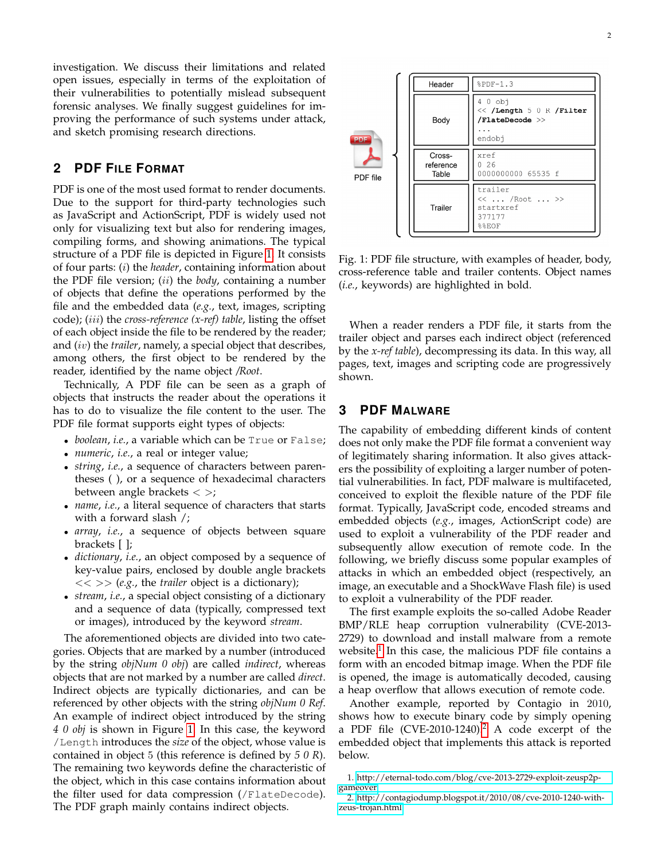investigation. We discuss their limitations and related open issues, especially in terms of the exploitation of their vulnerabilities to potentially mislead subsequent forensic analyses. We finally suggest guidelines for improving the performance of such systems under attack, and sketch promising research directions.

# **2 PDF FILE FORMAT**

PDF is one of the most used format to render documents. Due to the support for third-party technologies such as JavaScript and ActionScript, PDF is widely used not only for visualizing text but also for rendering images, compiling forms, and showing animations. The typical structure of a PDF file is depicted in Figure [1.](#page-1-0) It consists of four parts: (i) the *header*, containing information about the PDF file version; (ii) the *body*, containing a number of objects that define the operations performed by the file and the embedded data (*e.g.*, text, images, scripting code); (iii) the *cross-reference (x-ref) table*, listing the offset of each object inside the file to be rendered by the reader; and (iv) the *trailer*, namely, a special object that describes, among others, the first object to be rendered by the reader, identified by the name object */Root*.

Technically, A PDF file can be seen as a graph of objects that instructs the reader about the operations it has to do to visualize the file content to the user. The PDF file format supports eight types of objects:

- *boolean*, *i.e.*, a variable which can be True or False;
- *numeric*, *i.e.*, a real or integer value;
- *string*, *i.e.*, a sequence of characters between parentheses ( ), or a sequence of hexadecimal characters between angle brackets  $\langle \rangle$ ;
- *name*, *i.e.*, a literal sequence of characters that starts with a forward slash /;
- *array*, *i.e.*, a sequence of objects between square brackets [ ];
- *dictionary*, *i.e.*, an object composed by a sequence of key-value pairs, enclosed by double angle brackets  $<<$  >> (*e.g.*, the *trailer* object is a dictionary);
- *stream*, *i.e.*, a special object consisting of a dictionary and a sequence of data (typically, compressed text or images), introduced by the keyword *stream*.

The aforementioned objects are divided into two categories. Objects that are marked by a number (introduced by the string *objNum 0 obj*) are called *indirect*, whereas objects that are not marked by a number are called *direct*. Indirect objects are typically dictionaries, and can be referenced by other objects with the string *objNum 0 Ref*. An example of indirect object introduced by the string *4 0 obj* is shown in Figure [1.](#page-1-0) In this case, the keyword /Length introduces the *size* of the object, whose value is contained in object 5 (this reference is defined by *5 0 R*). The remaining two keywords define the characteristic of the object, which in this case contains information about the filter used for data compression (/FlateDecode). The PDF graph mainly contains indirect objects.

<span id="page-1-0"></span> $$PDF-1.3$ Header  $40$  obj << /Length 5 0 R /Filter  $/$ FlateDecode  $>$ Body  $\ldots$ endobi Crossxref reference  $0.26$ 0000000000 65535 f Table PDF file trailer << ... /Root ... >> Trailer startxref 377177 %%EOF

Fig. 1: PDF file structure, with examples of header, body, cross-reference table and trailer contents. Object names (*i.e.*, keywords) are highlighted in bold.

When a reader renders a PDF file, it starts from the trailer object and parses each indirect object (referenced by the *x-ref table*), decompressing its data. In this way, all pages, text, images and scripting code are progressively shown.

# **3 PDF MALWARE**

The capability of embedding different kinds of content does not only make the PDF file format a convenient way of legitimately sharing information. It also gives attackers the possibility of exploiting a larger number of potential vulnerabilities. In fact, PDF malware is multifaceted, conceived to exploit the flexible nature of the PDF file format. Typically, JavaScript code, encoded streams and embedded objects (*e.g.*, images, ActionScript code) are used to exploit a vulnerability of the PDF reader and subsequently allow execution of remote code. In the following, we briefly discuss some popular examples of attacks in which an embedded object (respectively, an image, an executable and a ShockWave Flash file) is used to exploit a vulnerability of the PDF reader.

The first example exploits the so-called Adobe Reader BMP/RLE heap corruption vulnerability (CVE-2013- 2729) to download and install malware from a remote website.<sup>[1](#page-1-1)</sup> In this case, the malicious PDF file contains a form with an encoded bitmap image. When the PDF file is opened, the image is automatically decoded, causing a heap overflow that allows execution of remote code.

Another example, reported by Contagio in 2010, shows how to execute binary code by simply opening a PDF file (CVE-[2](#page-1-2)010-1240).<sup>2</sup> A code excerpt of the embedded object that implements this attack is reported below.

<span id="page-1-1"></span><sup>1.</sup> [http://eternal-todo.com/blog/cve-2013-2729-exploit-zeusp2p](http://eternal-todo.com/blog/cve-2013-2729-exploit-zeusp2p-gameover)[gameover](http://eternal-todo.com/blog/cve-2013-2729-exploit-zeusp2p-gameover)

<span id="page-1-2"></span><sup>2.</sup> [http://contagiodump.blogspot.it/2010/08/cve-2010-1240-with](http://contagiodump.blogspot.it/2010/08/cve-2010-1240-with-zeus-trojan.html)[zeus-trojan.html](http://contagiodump.blogspot.it/2010/08/cve-2010-1240-with-zeus-trojan.html)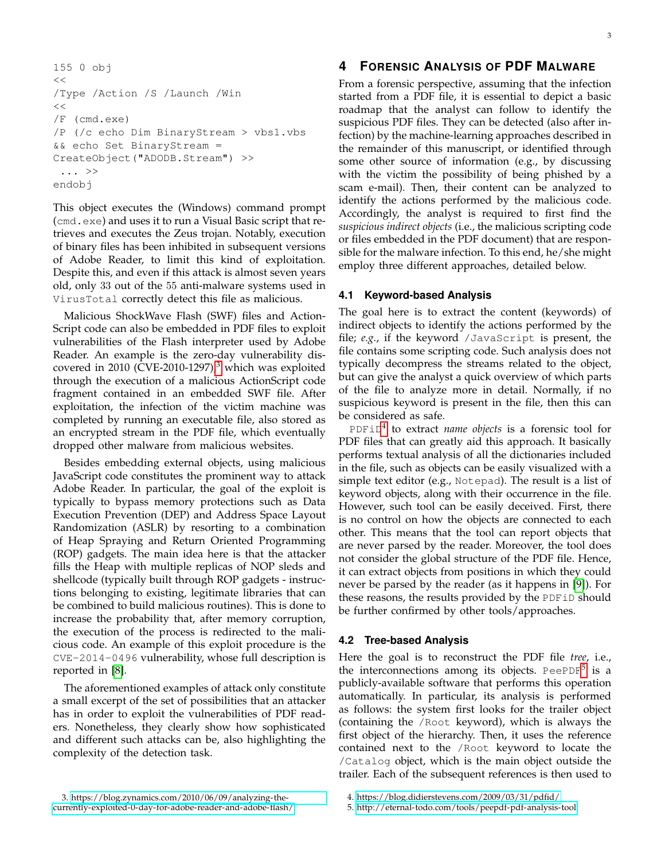```
155 0 obj
<</Type /Action /S /Launch /Win
\,<\,/F (cmd.exe)
/P (/c echo Dim BinaryStream > vbs1.vbs
&& echo Set BinaryStream =
CreateObject("ADODB.Stream") >>
 ... >>
endobj
```
This object executes the (Windows) command prompt (cmd.exe) and uses it to run a Visual Basic script that retrieves and executes the Zeus trojan. Notably, execution of binary files has been inhibited in subsequent versions of Adobe Reader, to limit this kind of exploitation. Despite this, and even if this attack is almost seven years old, only 33 out of the 55 anti-malware systems used in VirusTotal correctly detect this file as malicious.

Malicious ShockWave Flash (SWF) files and Action-Script code can also be embedded in PDF files to exploit vulnerabilities of the Flash interpreter used by Adobe Reader. An example is the zero-day vulnerability discovered in 2010 (CVE-2010-1297) $<sup>3</sup>$  $<sup>3</sup>$  $<sup>3</sup>$  which was exploited</sup> through the execution of a malicious ActionScript code fragment contained in an embedded SWF file. After exploitation, the infection of the victim machine was completed by running an executable file, also stored as an encrypted stream in the PDF file, which eventually dropped other malware from malicious websites.

Besides embedding external objects, using malicious JavaScript code constitutes the prominent way to attack Adobe Reader. In particular, the goal of the exploit is typically to bypass memory protections such as Data Execution Prevention (DEP) and Address Space Layout Randomization (ASLR) by resorting to a combination of Heap Spraying and Return Oriented Programming (ROP) gadgets. The main idea here is that the attacker fills the Heap with multiple replicas of NOP sleds and shellcode (typically built through ROP gadgets - instructions belonging to existing, legitimate libraries that can be combined to build malicious routines). This is done to increase the probability that, after memory corruption, the execution of the process is redirected to the malicious code. An example of this exploit procedure is the CVE-2014-0496 vulnerability, whose full description is reported in [\[8\]](#page-7-3).

<span id="page-2-0"></span>The aforementioned examples of attack only constitute a small excerpt of the set of possibilities that an attacker has in order to exploit the vulnerabilities of PDF readers. Nonetheless, they clearly show how sophisticated and different such attacks can be, also highlighting the complexity of the detection task.

# **4 FORENSIC ANALYSIS OF PDF MALWARE**

From a forensic perspective, assuming that the infection started from a PDF file, it is essential to depict a basic roadmap that the analyst can follow to identify the suspicious PDF files. They can be detected (also after infection) by the machine-learning approaches described in the remainder of this manuscript, or identified through some other source of information (e.g., by discussing with the victim the possibility of being phished by a scam e-mail). Then, their content can be analyzed to identify the actions performed by the malicious code. Accordingly, the analyst is required to first find the *suspicious indirect objects* (i.e., the malicious scripting code or files embedded in the PDF document) that are responsible for the malware infection. To this end, he/she might employ three different approaches, detailed below.

# **4.1 Keyword-based Analysis**

The goal here is to extract the content (keywords) of indirect objects to identify the actions performed by the file; *e.g.*, if the keyword /JavaScript is present, the file contains some scripting code. Such analysis does not typically decompress the streams related to the object, but can give the analyst a quick overview of which parts of the file to analyze more in detail. Normally, if no suspicious keyword is present in the file, then this can be considered as safe.

PDFiD[4](#page-2-1) to extract *name objects* is a forensic tool for PDF files that can greatly aid this approach. It basically performs textual analysis of all the dictionaries included in the file, such as objects can be easily visualized with a simple text editor (e.g., Notepad). The result is a list of keyword objects, along with their occurrence in the file. However, such tool can be easily deceived. First, there is no control on how the objects are connected to each other. This means that the tool can report objects that are never parsed by the reader. Moreover, the tool does not consider the global structure of the PDF file. Hence, it can extract objects from positions in which they could never be parsed by the reader (as it happens in [\[9\]](#page-7-4)). For these reasons, the results provided by the PDFiD should be further confirmed by other tools/approaches.

#### **4.2 Tree-based Analysis**

Here the goal is to reconstruct the PDF file *tree*, i.e., the interconnections among its objects. PeePDF $^5$  $^5$  is a publicly-available software that performs this operation automatically. In particular, its analysis is performed as follows: the system first looks for the trailer object (containing the /Root keyword), which is always the first object of the hierarchy. Then, it uses the reference contained next to the /Root keyword to locate the /Catalog object, which is the main object outside the trailer. Each of the subsequent references is then used to

<span id="page-2-1"></span><sup>4.</sup><https://blog.didierstevens.com/2009/03/31/pdfid/>

<span id="page-2-2"></span><sup>5.</sup><http://eternal-todo.com/tools/peepdf-pdf-analysis-tool>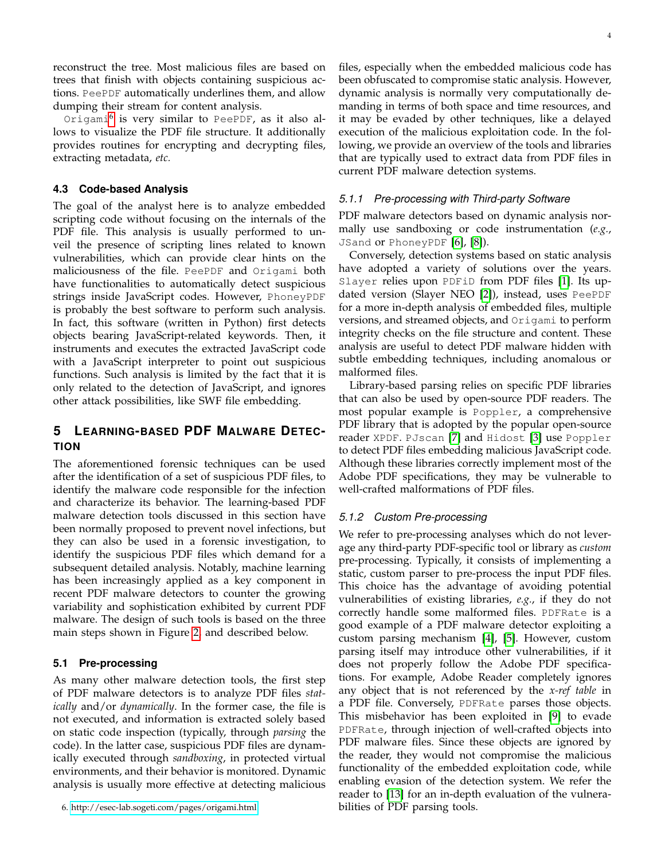reconstruct the tree. Most malicious files are based on trees that finish with objects containing suspicious actions. PeePDF automatically underlines them, and allow dumping their stream for content analysis.

Origami[6](#page-3-0) is very similar to PeePDF, as it also allows to visualize the PDF file structure. It additionally provides routines for encrypting and decrypting files, extracting metadata, *etc.*

## **4.3 Code-based Analysis**

The goal of the analyst here is to analyze embedded scripting code without focusing on the internals of the PDF file. This analysis is usually performed to unveil the presence of scripting lines related to known vulnerabilities, which can provide clear hints on the maliciousness of the file. PeePDF and Origami both have functionalities to automatically detect suspicious strings inside JavaScript codes. However, PhoneyPDF is probably the best software to perform such analysis. In fact, this software (written in Python) first detects objects bearing JavaScript-related keywords. Then, it instruments and executes the extracted JavaScript code with a JavaScript interpreter to point out suspicious functions. Such analysis is limited by the fact that it is only related to the detection of JavaScript, and ignores other attack possibilities, like SWF file embedding.

# **5 LEARNING-BASED PDF MALWARE DETEC-TION**

The aforementioned forensic techniques can be used after the identification of a set of suspicious PDF files, to identify the malware code responsible for the infection and characterize its behavior. The learning-based PDF malware detection tools discussed in this section have been normally proposed to prevent novel infections, but they can also be used in a forensic investigation, to identify the suspicious PDF files which demand for a subsequent detailed analysis. Notably, machine learning has been increasingly applied as a key component in recent PDF malware detectors to counter the growing variability and sophistication exhibited by current PDF malware. The design of such tools is based on the three main steps shown in Figure [2,](#page-4-0) and described below.

#### **5.1 Pre-processing**

As many other malware detection tools, the first step of PDF malware detectors is to analyze PDF files *statically* and/or *dynamically*. In the former case, the file is not executed, and information is extracted solely based on static code inspection (typically, through *parsing* the code). In the latter case, suspicious PDF files are dynamically executed through *sandboxing*, in protected virtual environments, and their behavior is monitored. Dynamic analysis is usually more effective at detecting malicious files, especially when the embedded malicious code has been obfuscated to compromise static analysis. However, dynamic analysis is normally very computationally demanding in terms of both space and time resources, and it may be evaded by other techniques, like a delayed execution of the malicious exploitation code. In the following, we provide an overview of the tools and libraries that are typically used to extract data from PDF files in current PDF malware detection systems.

## *5.1.1 Pre-processing with Third-party Software*

PDF malware detectors based on dynamic analysis normally use sandboxing or code instrumentation (*e.g.*, JSand or PhoneyPDF [\[6\]](#page-7-5), [\[8\]](#page-7-3)).

Conversely, detection systems based on static analysis have adopted a variety of solutions over the years. Slayer relies upon PDFiD from PDF files [\[1\]](#page-7-2). Its updated version (Slayer NEO [\[2\]](#page-7-6)), instead, uses PeePDF for a more in-depth analysis of embedded files, multiple versions, and streamed objects, and Origami to perform integrity checks on the file structure and content. These analysis are useful to detect PDF malware hidden with subtle embedding techniques, including anomalous or malformed files.

Library-based parsing relies on specific PDF libraries that can also be used by open-source PDF readers. The most popular example is Poppler, a comprehensive PDF library that is adopted by the popular open-source reader XPDF. PJscan [\[7\]](#page-7-7) and Hidost [\[3\]](#page-7-8) use Poppler to detect PDF files embedding malicious JavaScript code. Although these libraries correctly implement most of the Adobe PDF specifications, they may be vulnerable to well-crafted malformations of PDF files.

## *5.1.2 Custom Pre-processing*

We refer to pre-processing analyses which do not leverage any third-party PDF-specific tool or library as *custom* pre-processing. Typically, it consists of implementing a static, custom parser to pre-process the input PDF files. This choice has the advantage of avoiding potential vulnerabilities of existing libraries, *e.g.*, if they do not correctly handle some malformed files. PDFRate is a good example of a PDF malware detector exploiting a custom parsing mechanism [\[4\]](#page-7-9), [\[5\]](#page-7-10). However, custom parsing itself may introduce other vulnerabilities, if it does not properly follow the Adobe PDF specifications. For example, Adobe Reader completely ignores any object that is not referenced by the *x-ref table* in a PDF file. Conversely, PDFRate parses those objects. This misbehavior has been exploited in [\[9\]](#page-7-4) to evade PDFRate, through injection of well-crafted objects into PDF malware files. Since these objects are ignored by the reader, they would not compromise the malicious functionality of the embedded exploitation code, while enabling evasion of the detection system. We refer the reader to [\[13\]](#page-7-0) for an in-depth evaluation of the vulnerabilities of PDF parsing tools.

<span id="page-3-0"></span><sup>6.</sup><http://esec-lab.sogeti.com/pages/origami.html>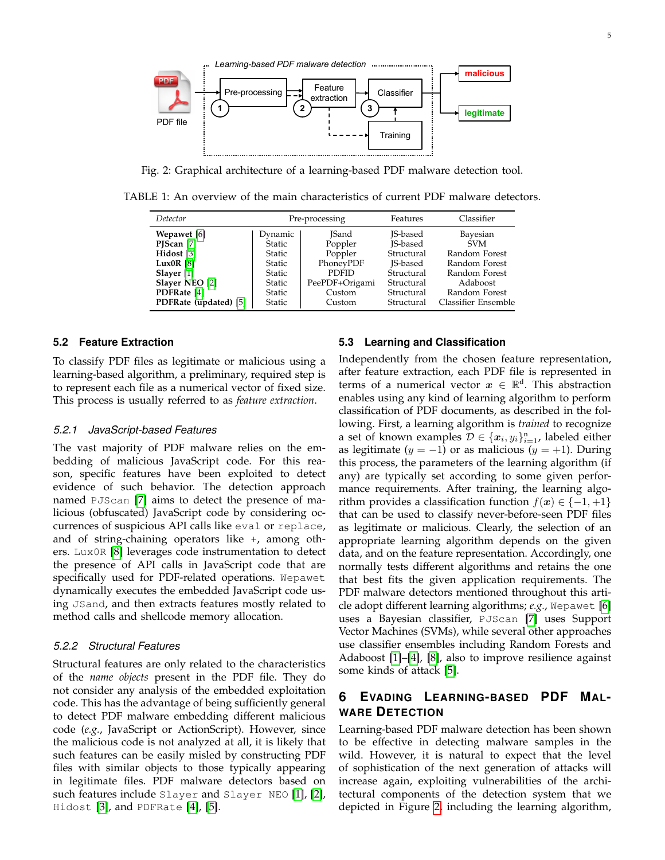<span id="page-4-0"></span>

Fig. 2: Graphical architecture of a learning-based PDF malware detection tool.

TABLE 1: An overview of the main characteristics of current PDF malware detectors.

| Detector                 | Pre-processing |                | Features        | Classifier          |
|--------------------------|----------------|----------------|-----------------|---------------------|
| Wepawet [6]              | Dynamic        | <b>ISand</b>   | <b>IS-based</b> | Bayesian            |
| PJScan $[7]$             | <b>Static</b>  | Poppler        | <b>IS-based</b> | <b>SVM</b>          |
| Hidost [3]               | <b>Static</b>  | Poppler        | Structural      | Random Forest       |
| Lux <sub>0</sub> R $[8]$ | <b>Static</b>  | PhoneyPDF      | IS-based        | Random Forest       |
| Slayer $[1]$             | <b>Static</b>  | <b>PDFID</b>   | Structural      | Random Forest       |
| Slayer NEO [2]           | <b>Static</b>  | PeePDF+Origami | Structural      | Adaboost            |
| PDFRate [4]              | <b>Static</b>  | Custom         | Structural      | Random Forest       |
| PDFRate (updated) [5]    | <b>Static</b>  | Custom         | Structural      | Classifier Ensemble |

## **5.2 Feature Extraction**

To classify PDF files as legitimate or malicious using a learning-based algorithm, a preliminary, required step is to represent each file as a numerical vector of fixed size. This process is usually referred to as *feature extraction*.

## *5.2.1 JavaScript-based Features*

The vast majority of PDF malware relies on the embedding of malicious JavaScript code. For this reason, specific features have been exploited to detect evidence of such behavior. The detection approach named PJScan [\[7\]](#page-7-7) aims to detect the presence of malicious (obfuscated) JavaScript code by considering occurrences of suspicious API calls like eval or replace, and of string-chaining operators like +, among others. Lux0R [\[8\]](#page-7-3) leverages code instrumentation to detect the presence of API calls in JavaScript code that are specifically used for PDF-related operations. Wepawet dynamically executes the embedded JavaScript code using JSand, and then extracts features mostly related to method calls and shellcode memory allocation.

## *5.2.2 Structural Features*

Structural features are only related to the characteristics of the *name objects* present in the PDF file. They do not consider any analysis of the embedded exploitation code. This has the advantage of being sufficiently general to detect PDF malware embedding different malicious code (*e.g.*, JavaScript or ActionScript). However, since the malicious code is not analyzed at all, it is likely that such features can be easily misled by constructing PDF files with similar objects to those typically appearing in legitimate files. PDF malware detectors based on such features include Slayer and Slayer NEO [\[1\]](#page-7-2), [\[2\]](#page-7-6), Hidost [\[3\]](#page-7-8), and PDFRate [\[4\]](#page-7-9), [\[5\]](#page-7-10).

### **5.3 Learning and Classification**

Independently from the chosen feature representation, after feature extraction, each PDF file is represented in terms of a numerical vector  $x \in \mathbb{R}^d$ . This abstraction enables using any kind of learning algorithm to perform classification of PDF documents, as described in the following. First, a learning algorithm is *trained* to recognize a set of known examples  $\mathcal{D} \in \{x_i, y_i\}_{i=1}^n$ , labeled either as legitimate ( $y = -1$ ) or as malicious ( $y = +1$ ). During this process, the parameters of the learning algorithm (if any) are typically set according to some given performance requirements. After training, the learning algorithm provides a classification function  $f(x) \in \{-1, +1\}$ that can be used to classify never-before-seen PDF files as legitimate or malicious. Clearly, the selection of an appropriate learning algorithm depends on the given data, and on the feature representation. Accordingly, one normally tests different algorithms and retains the one that best fits the given application requirements. The PDF malware detectors mentioned throughout this article adopt different learning algorithms; *e.g.*, Wepawet [\[6\]](#page-7-5) uses a Bayesian classifier, PJScan [\[7\]](#page-7-7) uses Support Vector Machines (SVMs), while several other approaches use classifier ensembles including Random Forests and Adaboost [\[1\]](#page-7-2)–[\[4\]](#page-7-9), [\[8\]](#page-7-3), also to improve resilience against some kinds of attack [\[5\]](#page-7-10).

# **6 EVADING LEARNING-BASED PDF MAL-WARE DETECTION**

Learning-based PDF malware detection has been shown to be effective in detecting malware samples in the wild. However, it is natural to expect that the level of sophistication of the next generation of attacks will increase again, exploiting vulnerabilities of the architectural components of the detection system that we depicted in Figure [2,](#page-4-0) including the learning algorithm,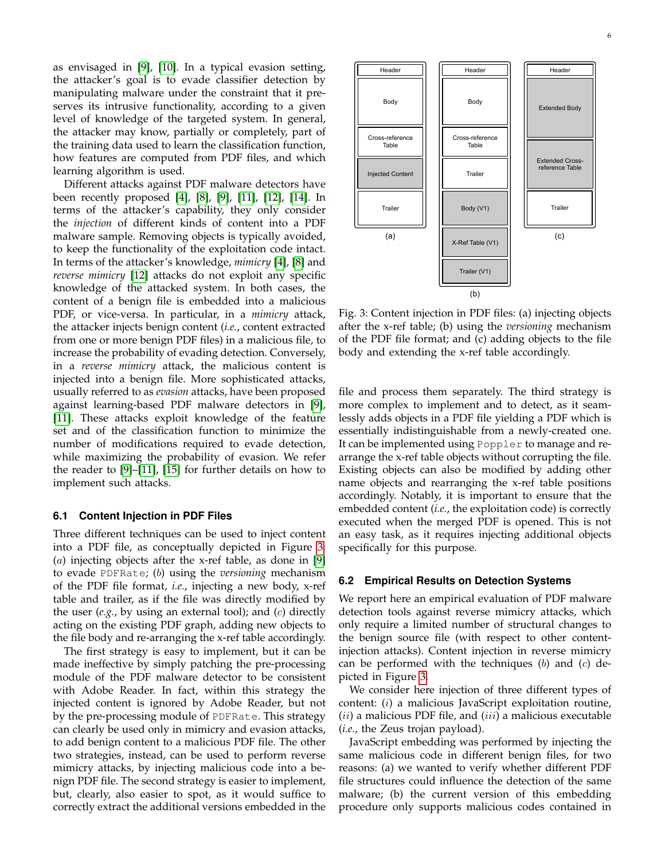as envisaged in [\[9\]](#page-7-4), [\[10\]](#page-7-11). In a typical evasion setting, the attacker's goal is to evade classifier detection by manipulating malware under the constraint that it preserves its intrusive functionality, according to a given level of knowledge of the targeted system. In general, the attacker may know, partially or completely, part of the training data used to learn the classification function, how features are computed from PDF files, and which learning algorithm is used.

Different attacks against PDF malware detectors have been recently proposed [\[4\]](#page-7-9), [\[8\]](#page-7-3), [\[9\]](#page-7-4), [\[11\]](#page-7-12), [\[12\]](#page-7-13), [\[14\]](#page-7-1). In terms of the attacker's capability, they only consider the *injection* of different kinds of content into a PDF malware sample. Removing objects is typically avoided, to keep the functionality of the exploitation code intact. In terms of the attacker's knowledge, *mimicry* [\[4\]](#page-7-9), [\[8\]](#page-7-3) and *reverse mimicry* [\[12\]](#page-7-13) attacks do not exploit any specific knowledge of the attacked system. In both cases, the content of a benign file is embedded into a malicious PDF, or vice-versa. In particular, in a *mimicry* attack, the attacker injects benign content (*i.e.*, content extracted from one or more benign PDF files) in a malicious file, to increase the probability of evading detection. Conversely, in a *reverse mimicry* attack, the malicious content is injected into a benign file. More sophisticated attacks, usually referred to as *evasion* attacks, have been proposed against learning-based PDF malware detectors in [\[9\]](#page-7-4), [\[11\]](#page-7-12). These attacks exploit knowledge of the feature set and of the classification function to minimize the number of modifications required to evade detection, while maximizing the probability of evasion. We refer the reader to [\[9\]](#page-7-4)–[\[11\]](#page-7-12), [\[15\]](#page-7-14) for further details on how to implement such attacks.

#### **6.1 Content Injection in PDF Files**

Three different techniques can be used to inject content into a PDF file, as conceptually depicted in Figure [3:](#page-5-0) (a) injecting objects after the x-ref table, as done in [\[9\]](#page-7-4) to evade PDFRate; (b) using the *versioning* mechanism of the PDF file format, *i.e.*, injecting a new body, x-ref table and trailer, as if the file was directly modified by the user (*e.g.*, by using an external tool); and (c) directly acting on the existing PDF graph, adding new objects to the file body and re-arranging the x-ref table accordingly.

The first strategy is easy to implement, but it can be made ineffective by simply patching the pre-processing module of the PDF malware detector to be consistent with Adobe Reader. In fact, within this strategy the injected content is ignored by Adobe Reader, but not by the pre-processing module of PDFRate. This strategy can clearly be used only in mimicry and evasion attacks, to add benign content to a malicious PDF file. The other two strategies, instead, can be used to perform reverse mimicry attacks, by injecting malicious code into a benign PDF file. The second strategy is easier to implement, but, clearly, also easier to spot, as it would suffice to correctly extract the additional versions embedded in the

<span id="page-5-0"></span>

Fig. 3: Content injection in PDF files: (a) injecting objects after the x-ref table; (b) using the *versioning* mechanism of the PDF file format; and (c) adding objects to the file body and extending the x-ref table accordingly.

file and process them separately. The third strategy is more complex to implement and to detect, as it seamlessly adds objects in a PDF file yielding a PDF which is essentially indistinguishable from a newly-created one. It can be implemented using Poppler to manage and rearrange the x-ref table objects without corrupting the file. Existing objects can also be modified by adding other name objects and rearranging the x-ref table positions accordingly. Notably, it is important to ensure that the embedded content (*i.e.*, the exploitation code) is correctly executed when the merged PDF is opened. This is not an easy task, as it requires injecting additional objects specifically for this purpose.

#### **6.2 Empirical Results on Detection Systems**

We report here an empirical evaluation of PDF malware detection tools against reverse mimicry attacks, which only require a limited number of structural changes to the benign source file (with respect to other contentinjection attacks). Content injection in reverse mimicry can be performed with the techniques  $(b)$  and  $(c)$  depicted in Figure [3.](#page-5-0)

We consider here injection of three different types of content: (i) a malicious JavaScript exploitation routine,  $(ii)$  a malicious PDF file, and  $(iii)$  a malicious executable (*i.e.*, the Zeus trojan payload).

JavaScript embedding was performed by injecting the same malicious code in different benign files, for two reasons: (a) we wanted to verify whether different PDF file structures could influence the detection of the same malware; (b) the current version of this embedding procedure only supports malicious codes contained in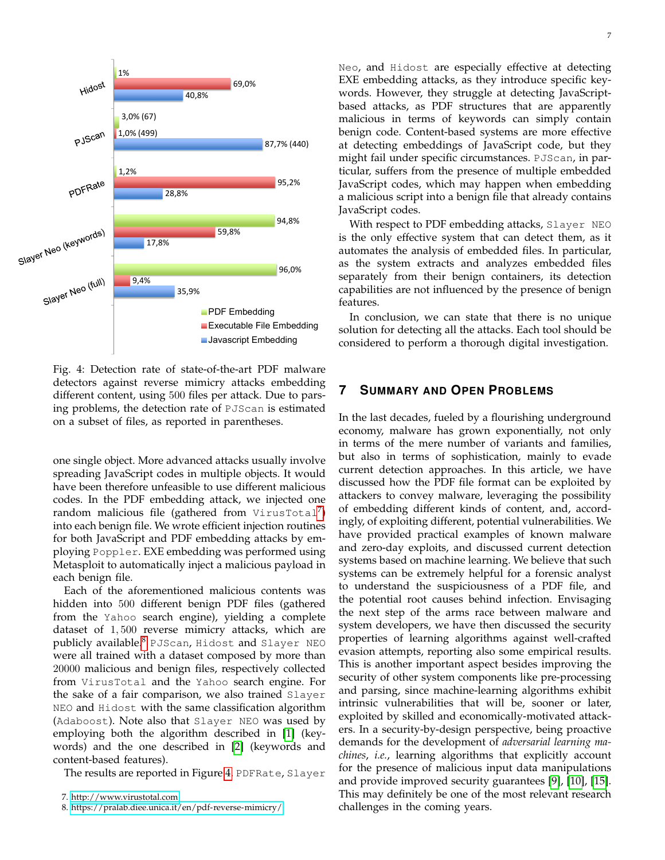<span id="page-6-2"></span>

Fig. 4: Detection rate of state-of-the-art PDF malware detectors against reverse mimicry attacks embedding different content, using 500 files per attack. Due to parsing problems, the detection rate of PJScan is estimated on a subset of files, as reported in parentheses.

one single object. More advanced attacks usually involve spreading JavaScript codes in multiple objects. It would have been therefore unfeasible to use different malicious codes. In the PDF embedding attack, we injected one  $\mathsf{random}\ \mathsf{malicious}\ \mathsf{file}\ (\mathsf{gathered}\ \mathsf{from}\ \mathsf{VirusTotal}^7)$  $\mathsf{random}\ \mathsf{malicious}\ \mathsf{file}\ (\mathsf{gathered}\ \mathsf{from}\ \mathsf{VirusTotal}^7)$  $\mathsf{random}\ \mathsf{malicious}\ \mathsf{file}\ (\mathsf{gathered}\ \mathsf{from}\ \mathsf{VirusTotal}^7)$ into each benign file. We wrote efficient injection routines for both JavaScript and PDF embedding attacks by employing Poppler. EXE embedding was performed using Metasploit to automatically inject a malicious payload in each benign file.

Each of the aforementioned malicious contents was hidden into 500 different benign PDF files (gathered from the Yahoo search engine), yielding a complete dataset of 1, 500 reverse mimicry attacks, which are publicly available.[8](#page-6-1) PJScan, Hidost and Slayer NEO were all trained with a dataset composed by more than 20000 malicious and benign files, respectively collected from VirusTotal and the Yahoo search engine. For the sake of a fair comparison, we also trained Slayer NEO and Hidost with the same classification algorithm (Adaboost). Note also that Slayer NEO was used by employing both the algorithm described in [\[1\]](#page-7-2) (keywords) and the one described in [\[2\]](#page-7-6) (keywords and content-based features).

The results are reported in Figure [4.](#page-6-2) PDFRate, Slayer

Neo, and Hidost are especially effective at detecting EXE embedding attacks, as they introduce specific keywords. However, they struggle at detecting JavaScriptbased attacks, as PDF structures that are apparently malicious in terms of keywords can simply contain benign code. Content-based systems are more effective at detecting embeddings of JavaScript code, but they might fail under specific circumstances. PJScan, in particular, suffers from the presence of multiple embedded JavaScript codes, which may happen when embedding a malicious script into a benign file that already contains JavaScript codes.

With respect to PDF embedding attacks, Slayer NEO is the only effective system that can detect them, as it automates the analysis of embedded files. In particular, as the system extracts and analyzes embedded files separately from their benign containers, its detection capabilities are not influenced by the presence of benign features.

In conclusion, we can state that there is no unique solution for detecting all the attacks. Each tool should be considered to perform a thorough digital investigation.

# **7 SUMMARY AND OPEN PROBLEMS**

In the last decades, fueled by a flourishing underground economy, malware has grown exponentially, not only in terms of the mere number of variants and families, but also in terms of sophistication, mainly to evade current detection approaches. In this article, we have discussed how the PDF file format can be exploited by attackers to convey malware, leveraging the possibility of embedding different kinds of content, and, accordingly, of exploiting different, potential vulnerabilities. We have provided practical examples of known malware and zero-day exploits, and discussed current detection systems based on machine learning. We believe that such systems can be extremely helpful for a forensic analyst to understand the suspiciousness of a PDF file, and the potential root causes behind infection. Envisaging the next step of the arms race between malware and system developers, we have then discussed the security properties of learning algorithms against well-crafted evasion attempts, reporting also some empirical results. This is another important aspect besides improving the security of other system components like pre-processing and parsing, since machine-learning algorithms exhibit intrinsic vulnerabilities that will be, sooner or later, exploited by skilled and economically-motivated attackers. In a security-by-design perspective, being proactive demands for the development of *adversarial learning machines*, *i.e.*, learning algorithms that explicitly account for the presence of malicious input data manipulations and provide improved security guarantees [\[9\]](#page-7-4), [\[10\]](#page-7-11), [\[15\]](#page-7-14). This may definitely be one of the most relevant research challenges in the coming years.

<span id="page-6-0"></span><sup>7.</sup><http://www.virustotal.com>

<span id="page-6-1"></span><sup>8.</sup><https://pralab.diee.unica.it/en/pdf-reverse-mimicry/>